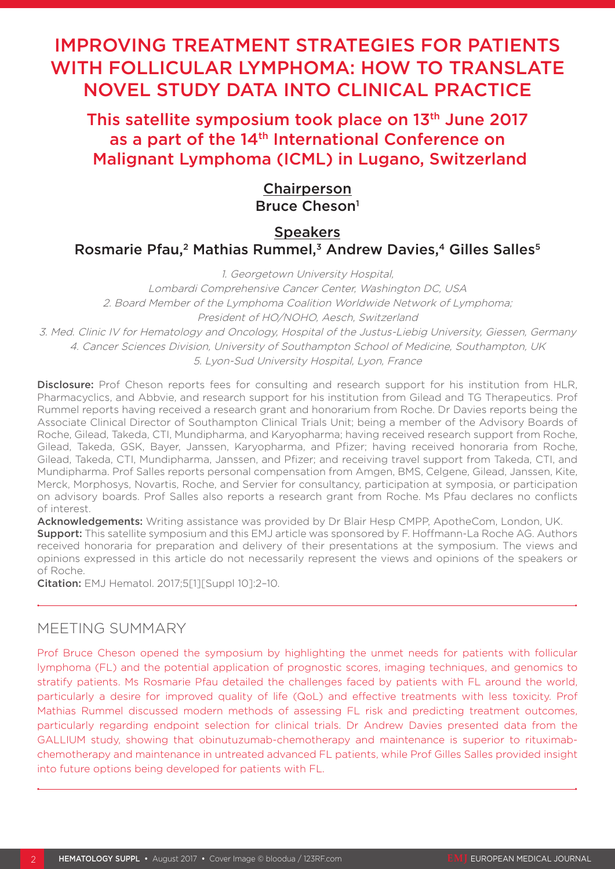# IMPROVING TREATMENT STRATEGIES FOR PATIENTS WITH FOLLICULAR LYMPHOMA: HOW TO TRANSLATE NOVEL STUDY DATA INTO CLINICAL PRACTICE

This satellite symposium took place on 13<sup>th</sup> June 2017 as a part of the 14<sup>th</sup> International Conference on Malignant Lymphoma (ICML) in Lugano, Switzerland

# Chairperson Bruce Cheson<sup>1</sup>

# **Speakers** Rosmarie Pfau,<sup>2</sup> Mathias Rummel,<sup>3</sup> Andrew Davies,<sup>4</sup> Gilles Salles<sup>5</sup>

1. Georgetown University Hospital,

Lombardi Comprehensive Cancer Center, Washington DC, USA 2. Board Member of the Lymphoma Coalition Worldwide Network of Lymphoma; President of HO/NOHO, Aesch, Switzerland

3. Med. Clinic IV for Hematology and Oncology, Hospital of the Justus-Liebig University, Giessen, Germany 4. Cancer Sciences Division, University of Southampton School of Medicine, Southampton, UK 5. Lyon-Sud University Hospital, Lyon, France

Disclosure: Prof Cheson reports fees for consulting and research support for his institution from HLR. Pharmacyclics, and Abbvie, and research support for his institution from Gilead and TG Therapeutics. Prof Rummel reports having received a research grant and honorarium from Roche. Dr Davies reports being the Associate Clinical Director of Southampton Clinical Trials Unit; being a member of the Advisory Boards of Roche, Gilead, Takeda, CTI, Mundipharma, and Karyopharma; having received research support from Roche, Gilead, Takeda, GSK, Bayer, Janssen, Karyopharma, and Pfizer; having received honoraria from Roche, Gilead, Takeda, CTI, Mundipharma, Janssen, and Pfizer; and receiving travel support from Takeda, CTI, and Mundipharma. Prof Salles reports personal compensation from Amgen, BMS, Celgene, Gilead, Janssen, Kite, Merck, Morphosys, Novartis, Roche, and Servier for consultancy, participation at symposia, or participation on advisory boards. Prof Salles also reports a research grant from Roche. Ms Pfau declares no conflicts of interest.

Acknowledgements: Writing assistance was provided by Dr Blair Hesp CMPP, ApotheCom, London, UK. Support: This satellite symposium and this EMJ article was sponsored by F. Hoffmann-La Roche AG. Authors received honoraria for preparation and delivery of their presentations at the symposium. The views and opinions expressed in this article do not necessarily represent the views and opinions of the speakers or of Roche.

Citation: EMJ Hematol. 2017;5[1][Suppl 10]:2–10.

# MEETING SUMMARY

Prof Bruce Cheson opened the symposium by highlighting the unmet needs for patients with follicular lymphoma (FL) and the potential application of prognostic scores, imaging techniques, and genomics to stratify patients. Ms Rosmarie Pfau detailed the challenges faced by patients with FL around the world, particularly a desire for improved quality of life (QoL) and effective treatments with less toxicity. Prof Mathias Rummel discussed modern methods of assessing FL risk and predicting treatment outcomes, particularly regarding endpoint selection for clinical trials. Dr Andrew Davies presented data from the GALLIUM study, showing that obinutuzumab-chemotherapy and maintenance is superior to rituximabchemotherapy and maintenance in untreated advanced FL patients, while Prof Gilles Salles provided insight into future options being developed for patients with FL.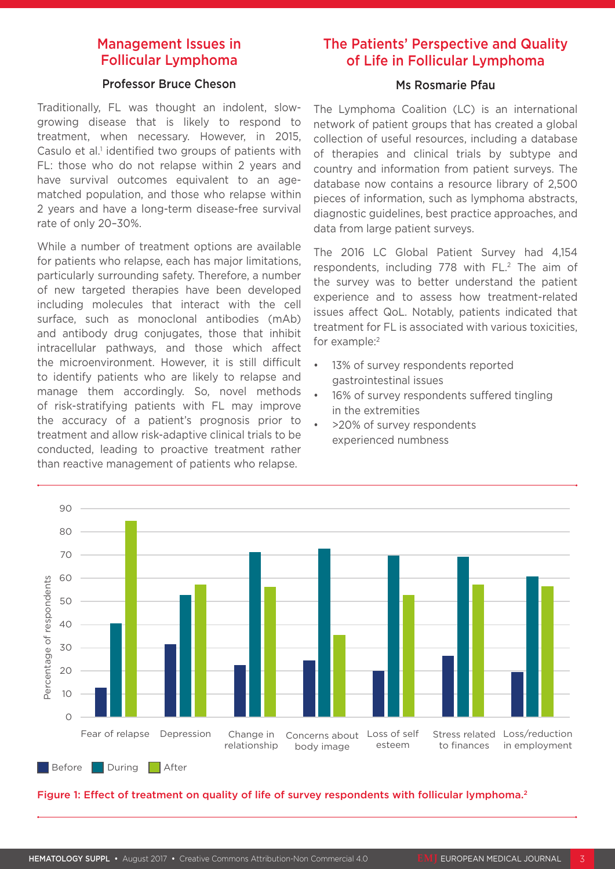# Management Issues in Follicular Lymphoma

#### Professor Bruce Cheson

Traditionally, FL was thought an indolent, slowgrowing disease that is likely to respond to treatment, when necessary. However, in 2015, Casulo et al.<sup>1</sup> identified two groups of patients with FL: those who do not relapse within 2 years and have survival outcomes equivalent to an agematched population, and those who relapse within 2 years and have a long-term disease-free survival rate of only 20–30%.

While a number of treatment options are available for patients who relapse, each has major limitations, particularly surrounding safety. Therefore, a number of new targeted therapies have been developed including molecules that interact with the cell surface, such as monoclonal antibodies (mAb) and antibody drug conjugates, those that inhibit intracellular pathways, and those which affect the microenvironment. However, it is still difficult to identify patients who are likely to relapse and manage them accordingly. So, novel methods of risk-stratifying patients with FL may improve the accuracy of a patient's prognosis prior to treatment and allow risk-adaptive clinical trials to be conducted, leading to proactive treatment rather than reactive management of patients who relapse.

# The Patients' Perspective and Quality of Life in Follicular Lymphoma

### Ms Rosmarie Pfau

The Lymphoma Coalition (LC) is an international network of patient groups that has created a global collection of useful resources, including a database of therapies and clinical trials by subtype and country and information from patient surveys. The database now contains a resource library of 2,500 pieces of information, such as lymphoma abstracts, diagnostic guidelines, best practice approaches, and data from large patient surveys.

The 2016 LC Global Patient Survey had 4,154 respondents, including 778 with FL.<sup>2</sup> The aim of the survey was to better understand the patient experience and to assess how treatment-related issues affect QoL. Notably, patients indicated that treatment for FL is associated with various toxicities, for example:<sup>2</sup>

- 13% of survey respondents reported gastrointestinal issues
- 16% of survey respondents suffered tingling in the extremities
- >20% of survey respondents experienced numbness



Figure 1: Effect of treatment on quality of life of survey respondents with follicular lymphoma.<sup>2</sup>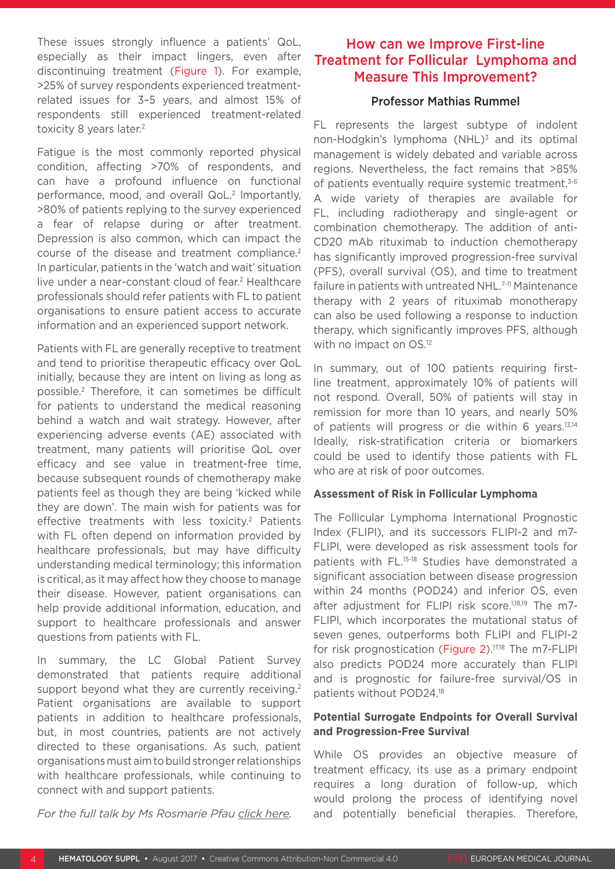These issues strongly influence a patients' QoL, especially as their impact lingers, even after discontinuing treatment (Figure 1). For example, >25% of survey respondents experienced treatmentrelated issues for 3–5 years, and almost 15% of respondents still experienced treatment-related toxicity 8 years later.<sup>2</sup>

Fatigue is the most commonly reported physical condition, affecting >70% of respondents, and can have a profound influence on functional performance, mood, and overall QoL.<sup>2</sup> Importantly, >80% of patients replying to the survey experienced a fear of relapse during or after treatment. Depression is also common, which can impact the course of the disease and treatment compliance.<sup>2</sup> In particular, patients in the 'watch and wait' situation live under a near-constant cloud of fear.<sup>2</sup> Healthcare professionals should refer patients with FL to patient organisations to ensure patient access to accurate information and an experienced support network.

Patients with FL are generally receptive to treatment and tend to prioritise therapeutic efficacy over QoL initially, because they are intent on living as long as possible.2 Therefore, it can sometimes be difficult for patients to understand the medical reasoning behind a watch and wait strategy. However, after experiencing adverse events (AE) associated with treatment, many patients will prioritise QoL over efficacy and see value in treatment-free time, because subsequent rounds of chemotherapy make patients feel as though they are being 'kicked while they are down'. The main wish for patients was for effective treatments with less toxicity.<sup>2</sup> Patients with FL often depend on information provided by healthcare professionals, but may have difficulty understanding medical terminology; this information is critical, as it may affect how they choose to manage their disease. However, patient organisations can help provide additional information, education, and support to healthcare professionals and answer questions from patients with FL.

In summary, the LC Global Patient Survey demonstrated that patients require additional support beyond what they are currently receiving.<sup>2</sup> Patient organisations are available to support patients in addition to healthcare professionals, but, in most countries, patients are not actively directed to these organisations. As such, patient organisations must aim to build stronger relationships with healthcare professionals, while continuing to connect with and support patients.

How can we Improve First-line Treatment for Follicular Lymphoma and Measure This Improvement?

#### Professor Mathias Rummel

FL represents the largest subtype of indolent non-Hodgkin's lymphoma  $(NHL)^3$  and its optimal management is widely debated and variable across regions. Nevertheless, the fact remains that >85% of patients eventually require systemic treatment.<sup>3-6</sup> A wide variety of therapies are available for FL, including radiotherapy and single-agent or combination chemotherapy. The addition of anti-CD20 mAb rituximab to induction chemotherapy has significantly improved progression-free survival (PFS), overall survival (OS), and time to treatment failure in patients with untreated NHL.<sup>7-11</sup> Maintenance therapy with 2 years of rituximab monotherapy can also be used following a response to induction therapy, which significantly improves PFS, although with no impact on OS.<sup>12</sup>

In summary, out of 100 patients requiring firstline treatment, approximately 10% of patients will not respond. Overall, 50% of patients will stay in remission for more than 10 years, and nearly 50% of patients will progress or die within 6 years.13,14 Ideally, risk-stratification criteria or biomarkers could be used to identify those patients with FL who are at risk of poor outcomes.

#### **Assessment of Risk in Follicular Lymphoma**

The Follicular Lymphoma International Prognostic Index (FLIPI), and its successors FLIPI-2 and m7- FLIPI, were developed as risk assessment tools for patients with FL.15-18 Studies have demonstrated a significant association between disease progression within 24 months (POD24) and inferior OS, even after adjustment for FLIPI risk score.<sup>1,18,19</sup> The m7-FLIPI, which incorporates the mutational status of seven genes, outperforms both FLIPI and FLIPI-2 for risk prognostication (Figure 2).<sup>17,18</sup> The m7-FLIPI also predicts POD24 more accurately than FLIPI and is prognostic for failure-free survival/OS in patients without POD24.18

#### **Potential Surrogate Endpoints for Overall Survival and Progression-Free Survival**

While OS provides an objective measure of treatment efficacy, its use as a primary endpoint requires a long duration of follow-up, which would prolong the process of identifying novel and potentially beneficial therapies. Therefore,

*For the full talk by Ms Rosmarie Pfau click here.*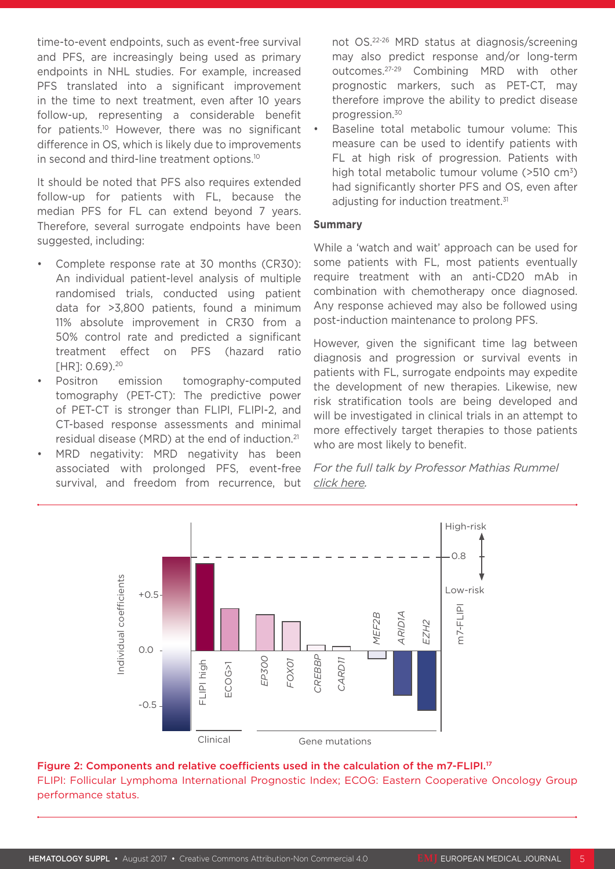time-to-event endpoints, such as event-free survival and PFS, are increasingly being used as primary endpoints in NHL studies. For example, increased PFS translated into a significant improvement in the time to next treatment, even after 10 years follow-up, representing a considerable benefit for patients.<sup>10</sup> However, there was no significant difference in OS, which is likely due to improvements in second and third-line treatment options.10

It should be noted that PFS also requires extended follow-up for patients with FL, because the median PFS for FL can extend beyond 7 years. Therefore, several surrogate endpoints have been suggested, including:

- Complete response rate at 30 months (CR30): An individual patient-level analysis of multiple randomised trials, conducted using patient data for >3,800 patients, found a minimum 11% absolute improvement in CR30 from a 50% control rate and predicted a significant treatment effect on PFS (hazard ratio [HR]: 0.69).<sup>20</sup>
- Positron emission tomography-computed tomography (PET-CT): The predictive power of PET-CT is stronger than FLIPI, FLIPI-2, and CT-based response assessments and minimal residual disease (MRD) at the end of induction.21
- MRD negativity: MRD negativity has been associated with prolonged PFS, event-free survival, and freedom from recurrence, but

not OS.22-26 MRD status at diagnosis/screening may also predict response and/or long-term outcomes.27-29 Combining MRD with other prognostic markers, such as PET-CT, may therefore improve the ability to predict disease progression.30

Baseline total metabolic tumour volume: This measure can be used to identify patients with FL at high risk of progression. Patients with high total metabolic tumour volume  $(>510 \text{ cm}^3)$ had significantly shorter PFS and OS, even after adjusting for induction treatment.<sup>31</sup>

#### **Summary**

While a 'watch and wait' approach can be used for some patients with FL, most patients eventually require treatment with an anti-CD20 mAb in combination with chemotherapy once diagnosed. Any response achieved may also be followed using post-induction maintenance to prolong PFS.

However, given the significant time lag between diagnosis and progression or survival events in patients with FL, surrogate endpoints may expedite the development of new therapies. Likewise, new risk stratification tools are being developed and will be investigated in clinical trials in an attempt to more effectively target therapies to those patients who are most likely to benefit.

*For the full talk by Professor Mathias Rummel click here.*



### Figure 2: Components and relative coefficients used in the calculation of the m7-FLIPI.<sup>17</sup> FLIPI: Follicular Lymphoma International Prognostic Index; ECOG: Eastern Cooperative Oncology Group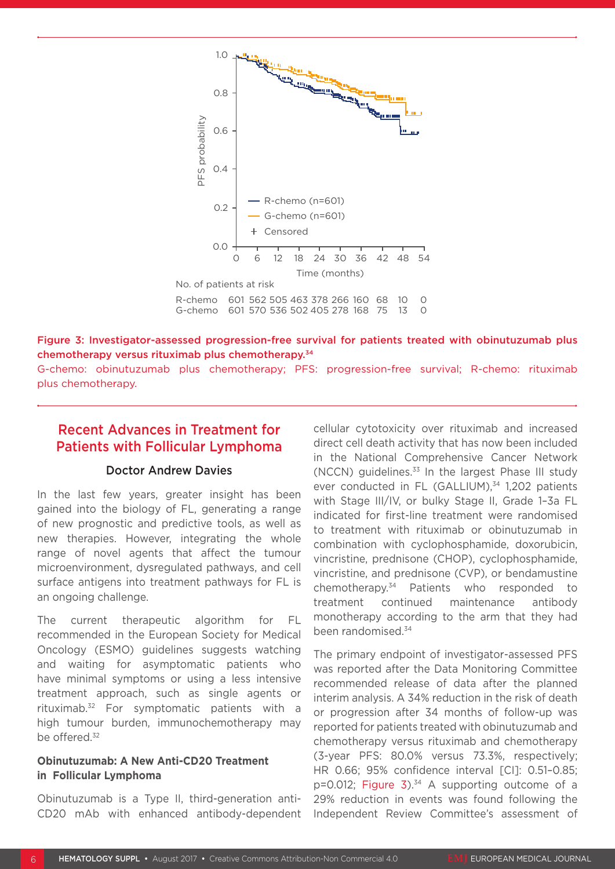

#### Figure 3: Investigator-assessed progression-free survival for patients treated with obinutuzumab plus chemotherapy versus rituximab plus chemotherapy.34

G-chemo: obinutuzumab plus chemotherapy; PFS: progression-free survival; R-chemo: rituximab plus chemotherapy.

### Recent Advances in Treatment for Patients with Follicular Lymphoma

#### Doctor Andrew Davies

In the last few years, greater insight has been gained into the biology of FL, generating a range of new prognostic and predictive tools, as well as new therapies. However, integrating the whole range of novel agents that affect the tumour microenvironment, dysregulated pathways, and cell surface antigens into treatment pathways for FL is an ongoing challenge.

The current therapeutic algorithm for FL recommended in the European Society for Medical Oncology (ESMO) guidelines suggests watching and waiting for asymptomatic patients who have minimal symptoms or using a less intensive treatment approach, such as single agents or rituximab.32 For symptomatic patients with a high tumour burden, immunochemotherapy may be offered.<sup>32</sup>

#### **Obinutuzumab: A New Anti-CD20 Treatment in Follicular Lymphoma**

Obinutuzumab is a Type II, third-generation anti-CD20 mAb with enhanced antibody-dependent cellular cytotoxicity over rituximab and increased direct cell death activity that has now been included in the National Comprehensive Cancer Network (NCCN) guidelines.33 In the largest Phase III study ever conducted in FL (GALLIUM),<sup>34</sup> 1,202 patients with Stage III/IV, or bulky Stage II, Grade 1–3a FL indicated for first-line treatment were randomised to treatment with rituximab or obinutuzumab in combination with cyclophosphamide, doxorubicin, vincristine, prednisone (CHOP), cyclophosphamide, vincristine, and prednisone (CVP), or bendamustine chemotherapy.34 Patients who responded to treatment continued maintenance antibody monotherapy according to the arm that they had been randomised.34

The primary endpoint of investigator-assessed PFS was reported after the Data Monitoring Committee recommended release of data after the planned interim analysis. A 34% reduction in the risk of death or progression after 34 months of follow-up was reported for patients treated with obinutuzumab and chemotherapy versus rituximab and chemotherapy (3-year PFS: 80.0% versus 73.3%, respectively; HR 0.66; 95% confidence interval [CI]: 0.51–0.85;  $p=0.012$ ; Figure 3).<sup>34</sup> A supporting outcome of a 29% reduction in events was found following the Independent Review Committee's assessment of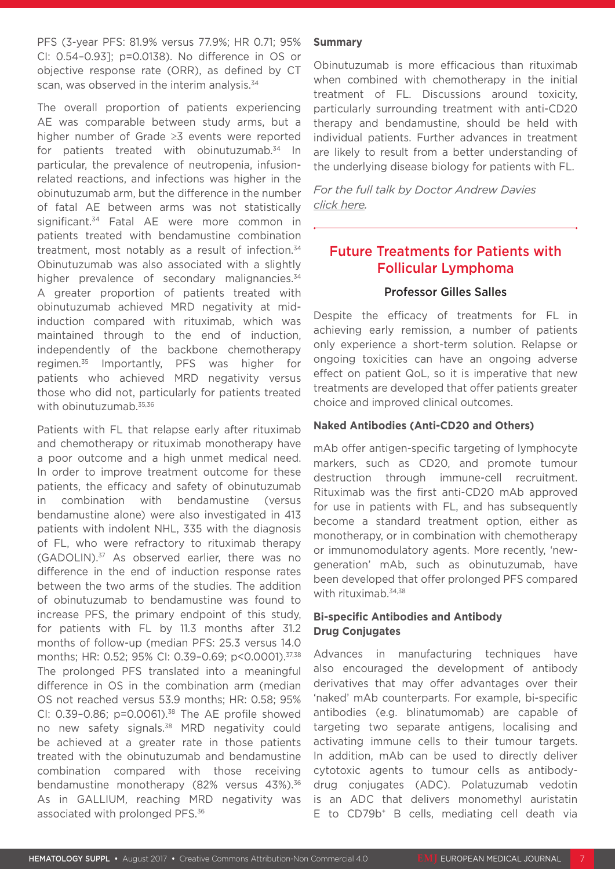PFS (3-year PFS: 81.9% versus 77.9%; HR 0.71; 95% CI: 0.54–0.93]; p=0.0138). No difference in OS or objective response rate (ORR), as defined by CT scan, was observed in the interim analysis.<sup>34</sup>

The overall proportion of patients experiencing AE was comparable between study arms, but a higher number of Grade ≥3 events were reported for patients treated with obinutuzumab.34 In particular, the prevalence of neutropenia, infusionrelated reactions, and infections was higher in the obinutuzumab arm, but the difference in the number of fatal AE between arms was not statistically significant.<sup>34</sup> Fatal AE were more common in patients treated with bendamustine combination treatment, most notably as a result of infection.<sup>34</sup> Obinutuzumab was also associated with a slightly higher prevalence of secondary malignancies.<sup>34</sup> A greater proportion of patients treated with obinutuzumab achieved MRD negativity at midinduction compared with rituximab, which was maintained through to the end of induction, independently of the backbone chemotherapy regimen.35 Importantly, PFS was higher for patients who achieved MRD negativity versus those who did not, particularly for patients treated with obinutuzumab.<sup>35,36</sup>

Patients with FL that relapse early after rituximab and chemotherapy or rituximab monotherapy have a poor outcome and a high unmet medical need. In order to improve treatment outcome for these patients, the efficacy and safety of obinutuzumab in combination with bendamustine (versus bendamustine alone) were also investigated in 413 patients with indolent NHL, 335 with the diagnosis of FL, who were refractory to rituximab therapy (GADOLIN).37 As observed earlier, there was no difference in the end of induction response rates between the two arms of the studies. The addition of obinutuzumab to bendamustine was found to increase PFS, the primary endpoint of this study, for patients with FL by 11.3 months after 31.2 months of follow-up (median PFS: 25.3 versus 14.0 months; HR: 0.52; 95% CI: 0.39-0.69; p<0.0001).<sup>37,38</sup> The prolonged PFS translated into a meaningful difference in OS in the combination arm (median OS not reached versus 53.9 months; HR: 0.58; 95% CI:  $0.39 - 0.86$ ;  $p = 0.0061$ ).<sup>38</sup> The AE profile showed no new safety signals.<sup>38</sup> MRD negativity could be achieved at a greater rate in those patients treated with the obinutuzumab and bendamustine combination compared with those receiving bendamustine monotherapy (82% versus 43%).<sup>36</sup> As in GALLIUM, reaching MRD negativity was associated with prolonged PFS.<sup>36</sup>

#### **Summary**

Obinutuzumab is more efficacious than rituximab when combined with chemotherapy in the initial treatment of FL. Discussions around toxicity, particularly surrounding treatment with anti-CD20 therapy and bendamustine, should be held with individual patients. Further advances in treatment are likely to result from a better understanding of the underlying disease biology for patients with FL.

*For the full talk by Doctor Andrew Davies click here.*

### Future Treatments for Patients with Follicular Lymphoma

#### Professor Gilles Salles

Despite the efficacy of treatments for FL in achieving early remission, a number of patients only experience a short-term solution. Relapse or ongoing toxicities can have an ongoing adverse effect on patient QoL, so it is imperative that new treatments are developed that offer patients greater choice and improved clinical outcomes.

#### **Naked Antibodies (Anti-CD20 and Others)**

mAb offer antigen-specific targeting of lymphocyte markers, such as CD20, and promote tumour destruction through immune-cell recruitment. Rituximab was the first anti-CD20 mAb approved for use in patients with FL, and has subsequently become a standard treatment option, either as monotherapy, or in combination with chemotherapy or immunomodulatory agents. More recently, 'newgeneration' mAb, such as obinutuzumab, have been developed that offer prolonged PFS compared with rituximab.34,38

#### **Bi-specific Antibodies and Antibody Drug Conjugates**

Advances in manufacturing techniques have also encouraged the development of antibody derivatives that may offer advantages over their 'naked' mAb counterparts. For example, bi-specific antibodies (e.g. blinatumomab) are capable of targeting two separate antigens, localising and activating immune cells to their tumour targets. In addition, mAb can be used to directly deliver cytotoxic agents to tumour cells as antibodydrug conjugates (ADC). Polatuzumab vedotin is an ADC that delivers monomethyl auristatin E to CD79b<sup>+</sup> B cells, mediating cell death via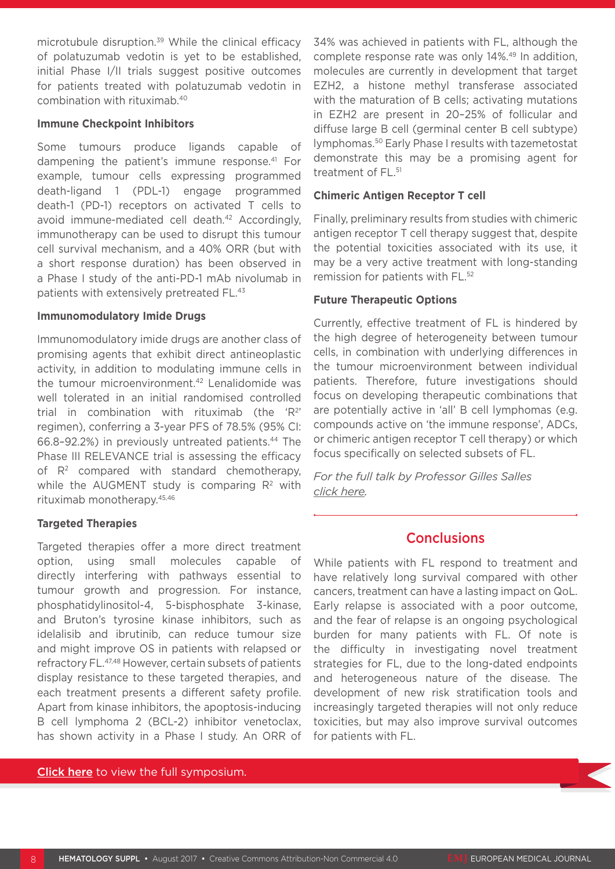microtubule disruption.<sup>39</sup> While the clinical efficacy of polatuzumab vedotin is yet to be established, initial Phase I/II trials suggest positive outcomes for patients treated with polatuzumab vedotin in combination with rituximab.40

#### **Immune Checkpoint Inhibitors**

Some tumours produce ligands capable of dampening the patient's immune response.41 For example, tumour cells expressing programmed death-ligand 1 (PDL-1) engage programmed death-1 (PD-1) receptors on activated T cells to avoid immune-mediated cell death.<sup>42</sup> Accordingly, immunotherapy can be used to disrupt this tumour cell survival mechanism, and a 40% ORR (but with a short response duration) has been observed in a Phase I study of the anti-PD-1 mAb nivolumab in patients with extensively pretreated FL.43

#### **Immunomodulatory Imide Drugs**

Immunomodulatory imide drugs are another class of promising agents that exhibit direct antineoplastic activity, in addition to modulating immune cells in the tumour microenvironment.42 Lenalidomide was well tolerated in an initial randomised controlled trial in combination with rituximab (the 'R<sup>2'</sup> regimen), conferring a 3-year PFS of 78.5% (95% CI: 66.8–92.2%) in previously untreated patients.44 The Phase III RELEVANCE trial is assessing the efficacy of  $R<sup>2</sup>$  compared with standard chemotherapy, while the AUGMENT study is comparing  $R<sup>2</sup>$  with rituximab monotherapy.45,46

#### **Targeted Therapies**

Targeted therapies offer a more direct treatment option, using small molecules capable of directly interfering with pathways essential to tumour growth and progression. For instance, phosphatidylinositol-4, 5-bisphosphate 3-kinase, and Bruton's tyrosine kinase inhibitors, such as idelalisib and ibrutinib, can reduce tumour size and might improve OS in patients with relapsed or refractory FL.47,48 However, certain subsets of patients display resistance to these targeted therapies, and each treatment presents a different safety profile. Apart from kinase inhibitors, the apoptosis-inducing B cell lymphoma 2 (BCL-2) inhibitor venetoclax, has shown activity in a Phase I study. An ORR of

Click here to view the full symposium.

34% was achieved in patients with FL, although the complete response rate was only 14%.<sup>49</sup> In addition, molecules are currently in development that target EZH2, a histone methyl transferase associated with the maturation of B cells; activating mutations in EZH2 are present in 20–25% of follicular and diffuse large B cell (germinal center B cell subtype) lymphomas.50 Early Phase I results with tazemetostat demonstrate this may be a promising agent for treatment of FL.<sup>51</sup>

#### **Chimeric Antigen Receptor T cell**

Finally, preliminary results from studies with chimeric antigen receptor T cell therapy suggest that, despite the potential toxicities associated with its use, it may be a very active treatment with long-standing remission for patients with FL.52

#### **Future Therapeutic Options**

Currently, effective treatment of FL is hindered by the high degree of heterogeneity between tumour cells, in combination with underlying differences in the tumour microenvironment between individual patients. Therefore, future investigations should focus on developing therapeutic combinations that are potentially active in 'all' B cell lymphomas (e.g. compounds active on 'the immune response', ADCs, or chimeric antigen receptor T cell therapy) or which focus specifically on selected subsets of FL.

*For the full talk by Professor Gilles Salles click here.*

### **Conclusions**

While patients with FL respond to treatment and have relatively long survival compared with other cancers, treatment can have a lasting impact on QoL. Early relapse is associated with a poor outcome, and the fear of relapse is an ongoing psychological burden for many patients with FL. Of note is the difficulty in investigating novel treatment strategies for FL, due to the long-dated endpoints and heterogeneous nature of the disease. The development of new risk stratification tools and increasingly targeted therapies will not only reduce toxicities, but may also improve survival outcomes for patients with FL.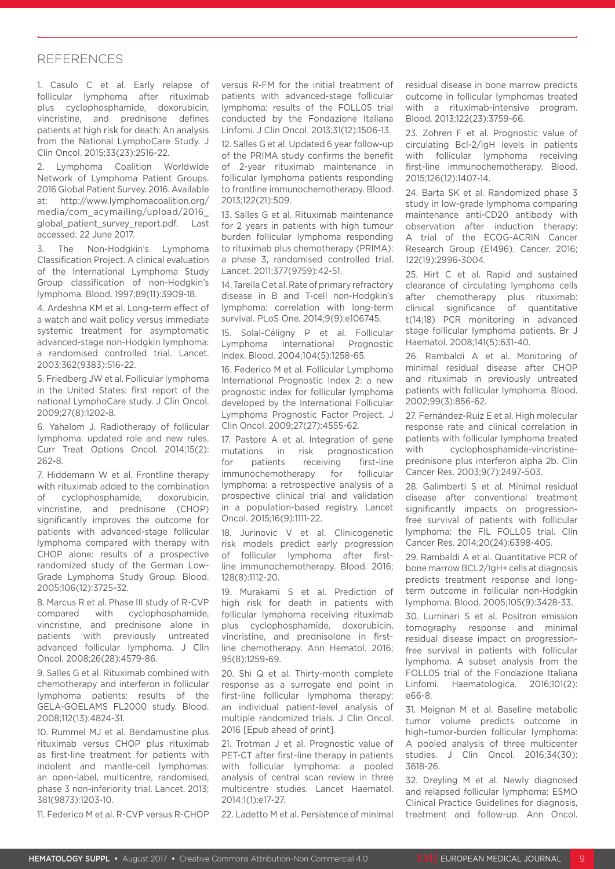#### REFERENCES

1. Casulo C et al. Early relapse of follicular lymphoma after rituximab plus cyclophosphamide, doxorubicin, vincristine, and prednisone defines patients at high risk for death: An analysis from the National LymphoCare Study. J Clin Oncol. 2015;33(23):2516-22.

2. Lymphoma Coalition Worldwide Network of Lymphoma Patient Groups. 2016 Global Patient Survey. 2016. Available at: http://www.lymphomacoalition.org/ media/com\_acymailing/upload/2016\_ global\_patient\_survey\_report.pdf. Last accessed: 22 June 2017.

The Non-Hodgkin's Lymphoma Classification Project. A clinical evaluation of the International Lymphoma Study Group classification of non-Hodgkin's lymphoma. Blood. 1997;89(11):3909-18.

4. Ardeshna KM et al. Long-term effect of a watch and wait policy versus immediate systemic treatment for asymptomatic advanced-stage non-Hodgkin lymphoma: a randomised controlled trial. Lancet. 2003;362(9383):516-22.

5. Friedberg JW et al. Follicular lymphoma in the United States: first report of the national LymphoCare study. J Clin Oncol. 2009;27(8):1202-8.

6. Yahalom J. Radiotherapy of follicular lymphoma: updated role and new rules. Curr Treat Options Oncol. 2014;15(2): 262-8.

7. Hiddemann W et al. Frontline therapy with rituximab added to the combination of cyclophosphamide, doxorubicin, vincristine, and prednisone (CHOP) significantly improves the outcome for patients with advanced-stage follicular lymphoma compared with therapy with CHOP alone: results of a prospective randomized study of the German Low-Grade Lymphoma Study Group. Blood. 2005;106(12):3725-32.

8. Marcus R et al. Phase III study of R-CVP compared with cyclophosphamide, vincristine, and prednisone alone in patients with previously untreated advanced follicular lymphoma. J Clin Oncol. 2008;26(28):4579-86.

9. Salles G et al. Rituximab combined with chemotherapy and interferon in follicular lymphoma patients: results of the GELA-GOELAMS FL2000 study. Blood. 2008;112(13):4824-31.

10. Rummel MJ et al. Bendamustine plus rituximab versus CHOP plus rituximab as first-line treatment for patients with indolent and mantle-cell lymphomas: an open-label, multicentre, randomised, phase 3 non-inferiority trial. Lancet. 2013; 381(9873):1203-10.

11. Federico M et al. R-CVP versus R-CHOP

versus R-FM for the initial treatment of patients with advanced-stage follicular lymphoma: results of the FOLL05 trial conducted by the Fondazione Italiana Linfomi. J Clin Oncol. 2013;31(12):1506-13.

12. Salles G et al. Updated 6 year follow-up of the PRIMA study confirms the benefit of 2-year rituximab maintenance in follicular lymphoma patients responding to frontline immunochemotherapy. Blood. 2013;122(21):509.

13. Salles G et al. Rituximab maintenance for 2 years in patients with high tumour burden follicular lymphoma responding to rituximab plus chemotherapy (PRIMA): a phase 3, randomised controlled trial. Lancet. 2011;377(9759):42-51.

14. Tarella C et al. Rate of primary refractory disease in B and T-cell non-Hodgkin's lymphoma: correlation with long-term survival. PLoS One. 2014;9(9):e106745.

15. Solal-Céligny P et al. Follicular Lymphoma International Prognostic Index. Blood. 2004;104(5):1258-65.

16. Federico M et al. Follicular Lymphoma International Prognostic Index 2: a new prognostic index for follicular lymphoma developed by the International Follicular Lymphoma Prognostic Factor Project. J Clin Oncol. 2009;27(27):4555-62.

17. Pastore A et al. Integration of gene mutations in risk prognostication for patients receiving first-line immunochemotherapy for follicular lymphoma: a retrospective analysis of a prospective clinical trial and validation in a population-based registry. Lancet Oncol. 2015;16(9):1111-22.

18. Jurinovic V et al. Clinicogenetic risk models predict early progression of follicular lymphoma after firstline immunochemotherapy. Blood. 2016; 128(8):1112-20.

19. Murakami S et al. Prediction of high risk for death in patients with follicular lymphoma receiving rituximab plus cyclophosphamide, doxorubicin, vincristine, and prednisolone in firstline chemotherapy. Ann Hematol. 2016; 95(8):1259-69.

20. Shi Q et al. Thirty-month complete response as a surrogate end point in first-line follicular lymphoma therapy: an individual patient-level analysis of multiple randomized trials. J Clin Oncol. 2016 [Epub ahead of print].

21. Trotman J et al. Prognostic value of PET-CT after first-line therapy in patients with follicular lymphoma: a pooled analysis of central scan review in three multicentre studies. Lancet Haematol. 2014;1(1):e17-27.

22. Ladetto M et al. Persistence of minimal

residual disease in bone marrow predicts outcome in follicular lymphomas treated with a rituximab-intensive program. Blood. 2013;122(23):3759-66.

23. Zohren F et al. Prognostic value of circulating Bcl-2/IgH levels in patients with follicular lymphoma receiving first-line immunochemotherapy. Blood. 2015;126(12):1407-14.

24. Barta SK et al. Randomized phase 3 study in low-grade lymphoma comparing maintenance anti-CD20 antibody with observation after induction therapy: A trial of the ECOG-ACRIN Cancer Research Group (E1496). Cancer. 2016; 122(19):2996-3004.

25. Hirt C et al. Rapid and sustained clearance of circulating lymphoma cells after chemotherapy plus rituximab: clinical significance of quantitative t(14;18) PCR monitoring in advanced stage follicular lymphoma patients. Br J Haematol. 2008;141(5):631-40.

26. Rambaldi A et al. Monitoring of minimal residual disease after CHOP and rituximab in previously untreated patients with follicular lymphoma. Blood. 2002;99(3):856-62.

27. Fernández-Ruiz E et al. High molecular response rate and clinical correlation in patients with follicular lymphoma treated with cyclophosphamide-vincristineprednisone plus interferon alpha 2b. Clin Cancer Res. 2003;9(7):2497-503.

28. Galimberti S et al. Minimal residual disease after conventional treatment significantly impacts on progressionfree survival of patients with follicular lymphoma: the FIL FOLL05 trial. Clin Cancer Res. 2014;20(24):6398-405.

29. Rambaldi A et al. Quantitative PCR of bone marrow BCL2/IgH+ cells at diagnosis predicts treatment response and longterm outcome in follicular non-Hodgkin lymphoma. Blood. 2005;105(9):3428-33.

30. Luminari S et al. Positron emission tomography response and minimal residual disease impact on progressionfree survival in patients with follicular lymphoma. A subset analysis from the FOLL05 trial of the Fondazione Italiana Linfomi. Haematologica. 2016;101(2): e66-8.

31. Meignan M et al. Baseline metabolic tumor volume predicts outcome in high–tumor-burden follicular lymphoma: A pooled analysis of three multicenter studies. J Clin Oncol. 2016;34(30): 3618-26.

32. Dreyling M et al. Newly diagnosed and relapsed follicular lymphoma: ESMO Clinical Practice Guidelines for diagnosis, treatment and follow-up. Ann Oncol.